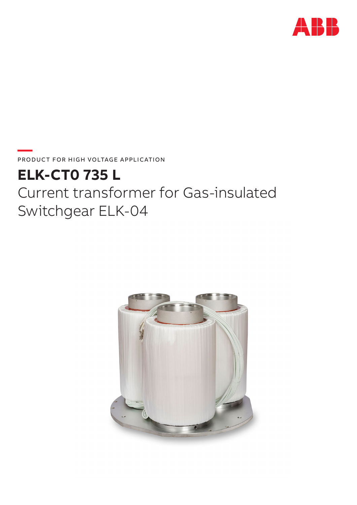

PRODUCT FOR HIGH VOLTAGE APPLICATION

# **ELK-CTO 735 L** Current transformer for Gas-insulated Switchgear ELK-04

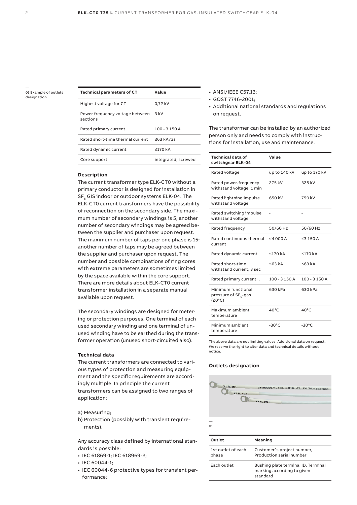— 01 Example of outlets designation

| Technical parameters of CT                  | Value               |
|---------------------------------------------|---------------------|
| Highest voltage for CT                      | 0,72 kV             |
| Power frequency voltage between<br>sections | 3 kV                |
| Rated primary current                       | $100 - 3150A$       |
| Rated short-time thermal current            | ≤63 kA/3s           |
| Rated dynamic current                       | $\leq$ 170 kA       |
| Core support                                | integrated, screwed |

#### **Description**

The current transformer type ELK-CT0 without a primary conductor is designed for installation in  $SF<sub>6</sub>$  GIS indoor or outdoor systems ELK-04. The ELK-CT0 current transformers have the possibility of reconnection on the secondary side. The maximum number of secondary windings is 5; another number of secondary windings may be agreed between the supplier and purchaser upon request. The maximum number of taps per one phase is 15; another number of taps may be agreed between the supplier and purchaser upon request. The number and possible combinations of ring cores with extreme parameters are sometimes limited by the space available within the core support. There are more details about ELK-CT0 current transformer installation in a separate manual available upon request.

The secondary windings are designed for metering or protection purposes. One terminal of each used secondary winding and one terminal of unused winding have to be earthed during the transformer operation (unused short-circuited also).

#### **Technical data**

The current transformers are connected to various types of protection and measuring equipment and the specific requirements are accordingly multiple. In principle the current transformers can be assigned to two ranges of application:

#### a) Measuring;

b) Protection (possibly with transient requirements).

Any accuracy class defined by international standards is possible:

- IEC 61869-1; IEC 618969-2;
- IEC 60044-1;
- IEC 60044-6 protective types for transient performance;
- ANSI/IEEE C57.13;
- GOST 7746-2001;
- Additional national standards and regulations on request.

The transformer can be installed by an authorized person only and needs to comply with instructions for installation, use and maintenance.

| <b>Technical data of</b><br>switchgear ELK-04                             | Value           |                 |
|---------------------------------------------------------------------------|-----------------|-----------------|
| Rated voltage                                                             | up to 140 kV    | up to 170 kV    |
| Rated power-frequency<br>withstand voltage, 1 min                         | 275 kV          | 325 kV          |
| Rated lightning impulse<br>withstand voltage                              | 650 kV          | 750 kV          |
| Rated switching impulse<br>withstand voltage                              |                 |                 |
| Rated frequency                                                           | 50/60 Hz        | 50/60 Hz        |
| Rated continuous thermal<br>current                                       | $\leq$ 4000A    | $\leq$ 3 150 A  |
| Rated dynamic current                                                     | ≤170 $kA$       | $\leq$ 170 kA   |
| Rated short-time<br>withstand current, 3 sec                              | ≤63 kA          | ≤63 kA          |
| Rated primary current I                                                   | $100 - 3150A$   | $100 - 3150A$   |
| Minimum functional<br>pressure of SF <sub>6</sub> -gas<br>$(20^{\circ}C)$ | 630 kPa         | 630 kPa         |
| Maximum ambient<br>temperature                                            | $40^{\circ}$ C  | $40^{\circ}$ C  |
| Minimum ambient<br>temperature                                            | $-30^{\circ}$ C | $-30^{\circ}$ C |

The above data are not limiting values. Additional data on request. We reserve the right to alter data and technical details without notice.

#### **Outlets designation**



| Outlet                      | Meaning                                                                       |
|-----------------------------|-------------------------------------------------------------------------------|
| 1st outlet of each<br>phase | Customer's project number,<br>Production serial number                        |
| Each outlet                 | Bushing plate terminal ID, Terminal<br>marking according to given<br>standard |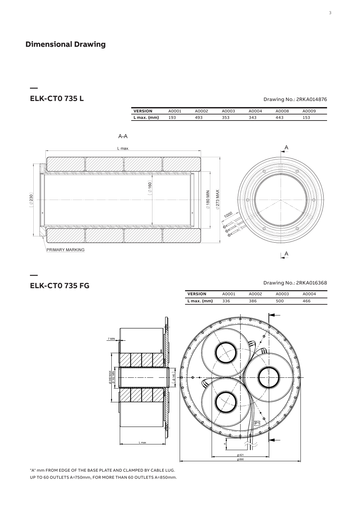# **Dimensional Drawing**

## **ELK-CT0 735 L** Drawing No.: 2RKA014876

**—** 

| <b>VERSION</b> | A0001 | .0002 | A0003 | A0004 | A0008 | A0009 |
|----------------|-------|-------|-------|-------|-------|-------|
| $L$ max. (mm)  | 193   | 493   | 353   | 343   | 443   | 53ء   |
|                |       |       |       |       |       |       |



### **ELK-CT0 735 FG**

**—** 

Drawing No.: 2RKA016368

| <b>VERSION</b> | A0001 | A0002 | A0003 | A0004 |
|----------------|-------|-------|-------|-------|
| L max. (mm)    | 336   | 386   | 500   | 466   |



"A" mm FROM EDGE OF THE BASE PLATE AND CLAMPED BY CABLE LUG. UP TO 60 OUTLETS A=750mm, FOR MORE THAN 60 OUTLETS A=850mm.